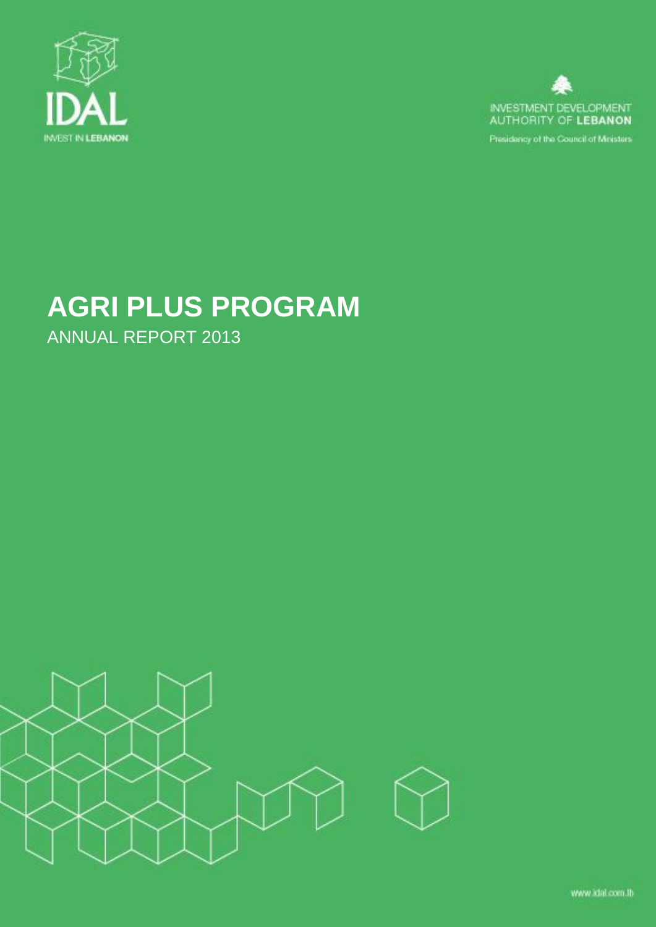



Presidency of the Council of Moisters

# **AGRI PLUS PROGRAM** ANNUAL REPORT 2013

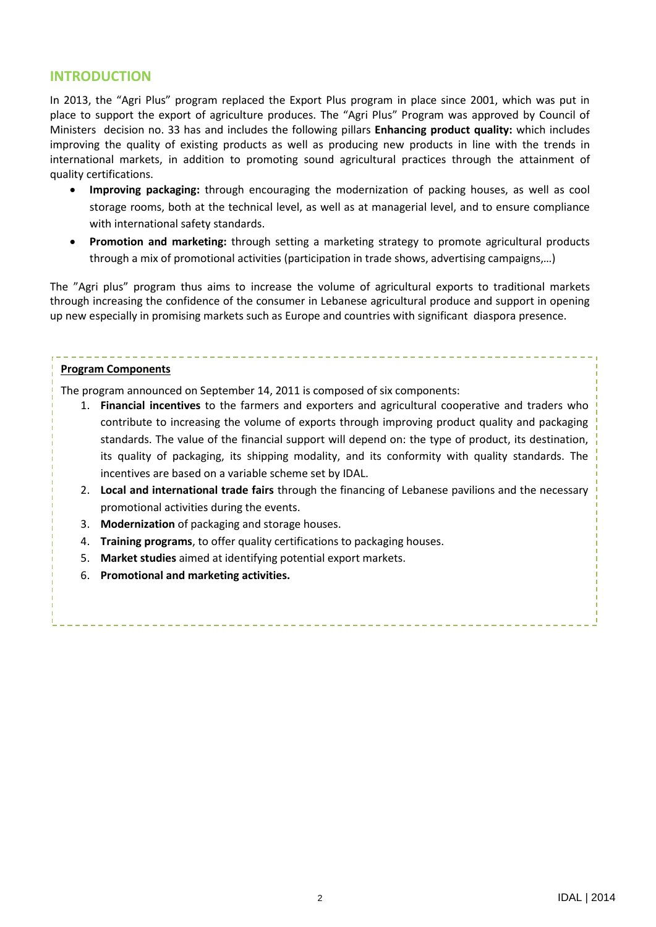# **INTRODUCTION**

In 2013, the "Agri Plus" program replaced the Export Plus program in place since 2001, which was put in place to support the export of agriculture produces. The "Agri Plus" Program was approved by Council of Ministers decision no. 33 has and includes the following pillars **Enhancing product quality:** which includes improving the quality of existing products as well as producing new products in line with the trends in international markets, in addition to promoting sound agricultural practices through the attainment of quality certifications.

- **Improving packaging:** through encouraging the modernization of packing houses, as well as cool storage rooms, both at the technical level, as well as at managerial level, and to ensure compliance with international safety standards.
- **Promotion and marketing:** through setting a marketing strategy to promote agricultural products through a mix of promotional activities (participation in trade shows, advertising campaigns,…)

The "Agri plus" program thus aims to increase the volume of agricultural exports to traditional markets through increasing the confidence of the consumer in Lebanese agricultural produce and support in opening up new especially in promising markets such as Europe and countries with significant diaspora presence.

#### **Program Components**

The program announced on September 14, 2011 is composed of six components:

- 1. **Financial incentives** to the farmers and exporters and agricultural cooperative and traders who contribute to increasing the volume of exports through improving product quality and packaging standards. The value of the financial support will depend on: the type of product, its destination, its quality of packaging, its shipping modality, and its conformity with quality standards. The incentives are based on a variable scheme set by IDAL.
- 2. **Local and international trade fairs** through the financing of Lebanese pavilions and the necessary promotional activities during the events.
- 3. **Modernization** of packaging and storage houses.
- 4. **Training programs**, to offer quality certifications to packaging houses.
- 5. **Market studies** aimed at identifying potential export markets.
- 6. **Promotional and marketing activities.**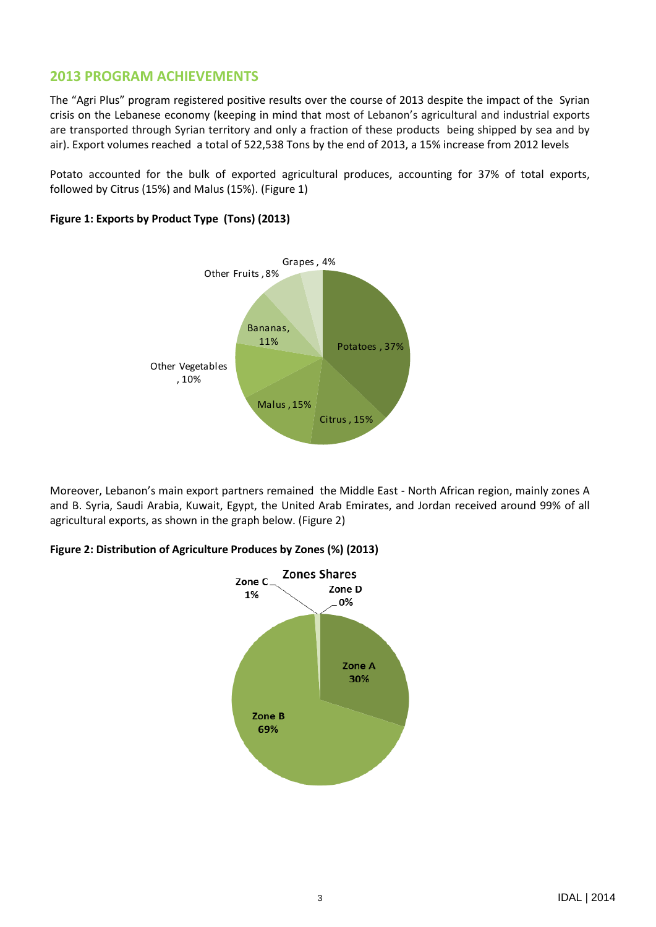# **2013 PROGRAM ACHIEVEMENTS**

The "Agri Plus" program registered positive results over the course of 2013 despite the impact of the Syrian crisis on the Lebanese economy (keeping in mind that most of Lebanon's agricultural and industrial exports are transported through Syrian territory and only a fraction of these products being shipped by sea and by air). Export volumes reached a total of 522,538 Tons by the end of 2013, a 15% increase from 2012 levels

Potato accounted for the bulk of exported agricultural produces, accounting for 37% of total exports, followed by Citrus (15%) and Malus (15%). (Figure 1)



**Figure 1: Exports by Product Type (Tons) (2013)** 

Moreover, Lebanon's main export partners remained the Middle East - North African region, mainly zones A and B. Syria, Saudi Arabia, Kuwait, Egypt, the United Arab Emirates, and Jordan received around 99% of all agricultural exports, as shown in the graph below. (Figure 2)

#### **Figure 2: Distribution of Agriculture Produces by Zones (%) (2013)**

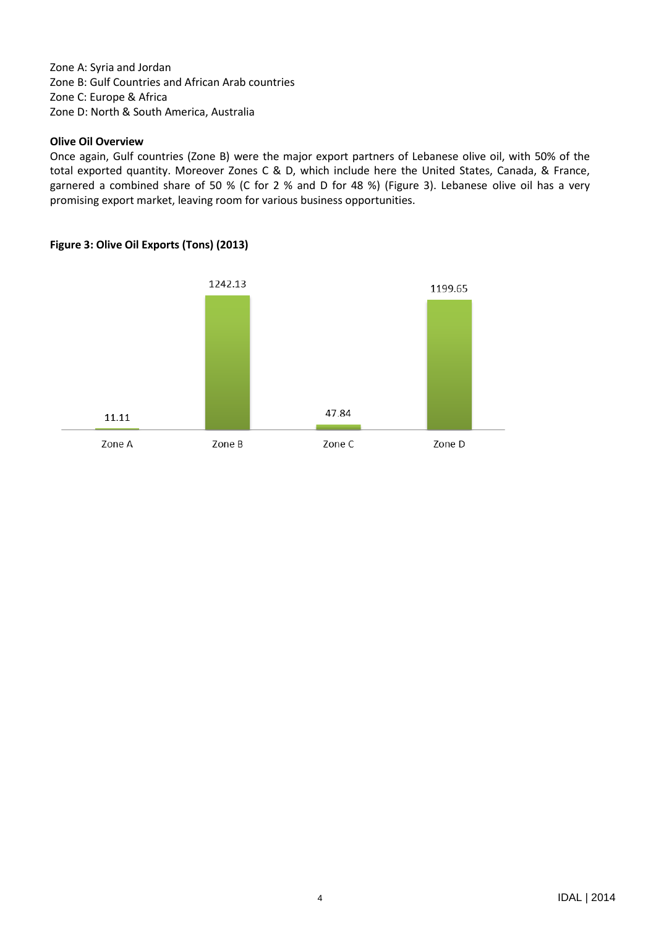Zone A: Syria and Jordan Zone B: Gulf Countries and African Arab countries Zone C: Europe & Africa Zone D: North & South America, Australia

#### **Olive Oil Overview**

Once again, Gulf countries (Zone B) were the major export partners of Lebanese olive oil, with 50% of the total exported quantity. Moreover Zones C & D, which include here the United States, Canada, & France, garnered a combined share of 50 % (C for 2 % and D for 48 %) (Figure 3). Lebanese olive oil has a very promising export market, leaving room for various business opportunities.

## **Figure 3: Olive Oil Exports (Tons) (2013)**

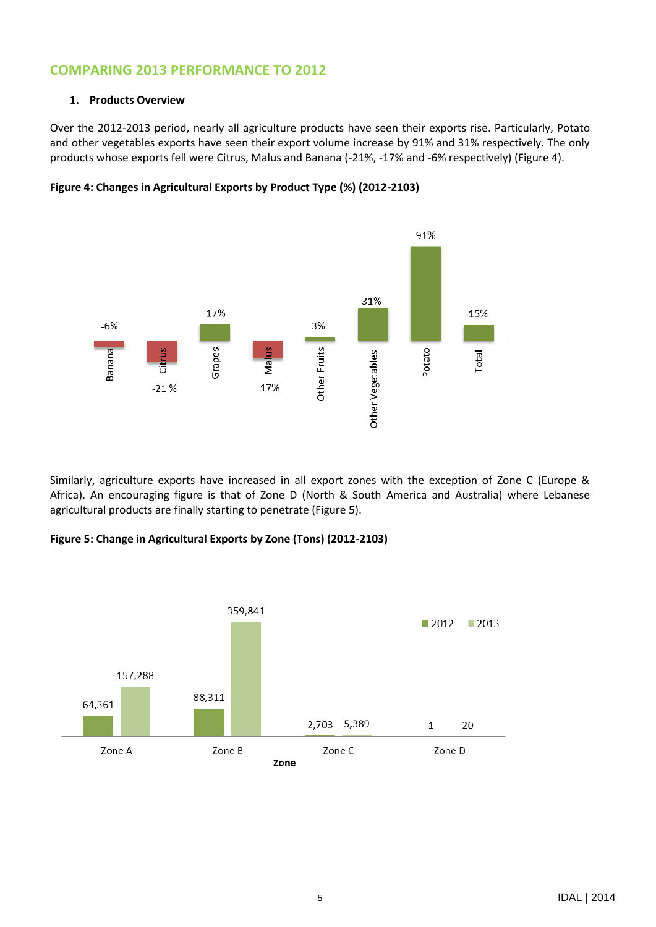# **COMPARING 2013 PERFORMANCE TO 2012**

## **1. Products Overview**

Over the 2012-2013 period, nearly all agriculture products have seen their exports rise. Particularly, Potato and other vegetables exports have seen their export volume increase by 91% and 31% respectively. The only products whose exports fell were Citrus, Malus and Banana (-21%, -17% and -6% respectively) (Figure 4).

**Figure 4: Changes in Agricultural Exports by Product Type (%) (2012-2103)**



Similarly, agriculture exports have increased in all export zones with the exception of Zone C (Europe & Africa). An encouraging figure is that of Zone D (North & South America and Australia) where Lebanese agricultural products are finally starting to penetrate (Figure 5).

**Figure 5: Change in Agricultural Exports by Zone (Tons) (2012-2103)**

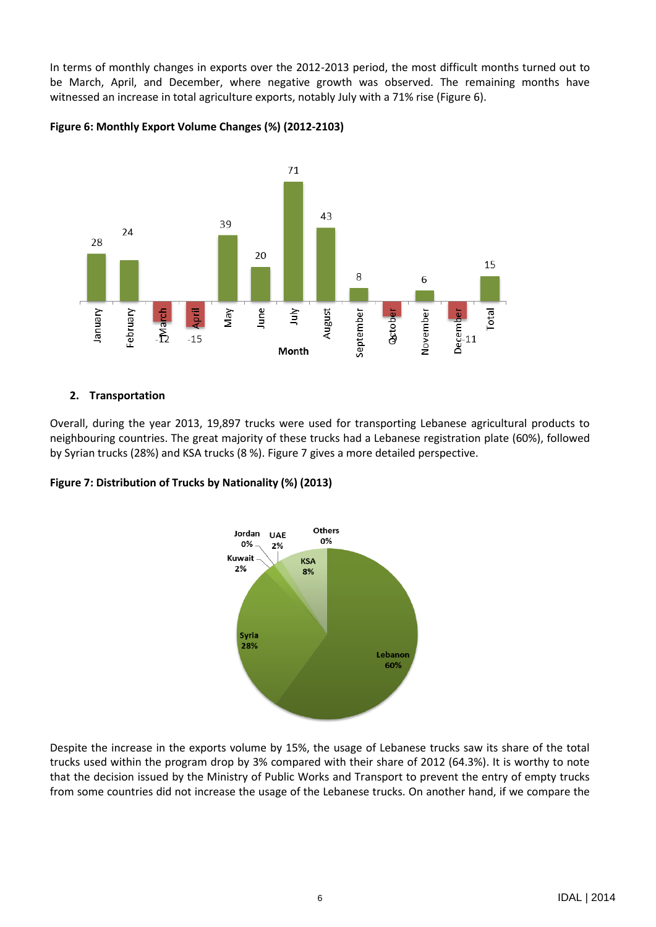In terms of monthly changes in exports over the 2012-2013 period, the most difficult months turned out to be March, April, and December, where negative growth was observed. The remaining months have witnessed an increase in total agriculture exports, notably July with a 71% rise (Figure 6).





## **2. Transportation**

Overall, during the year 2013, 19,897 trucks were used for transporting Lebanese agricultural products to neighbouring countries. The great majority of these trucks had a Lebanese registration plate (60%), followed by Syrian trucks (28%) and KSA trucks (8 %). Figure 7 gives a more detailed perspective.

**Figure 7: Distribution of Trucks by Nationality (%) (2013)**



Despite the increase in the exports volume by 15%, the usage of Lebanese trucks saw its share of the total trucks used within the program drop by 3% compared with their share of 2012 (64.3%). It is worthy to note that the decision issued by the Ministry of Public Works and Transport to prevent the entry of empty trucks from some countries did not increase the usage of the Lebanese trucks. On another hand, if we compare the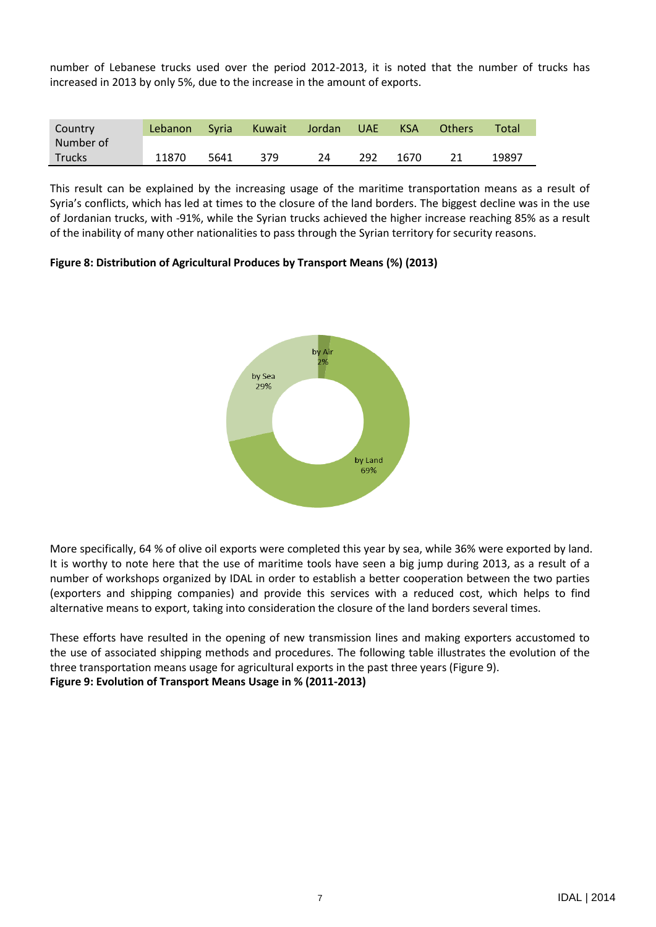number of Lebanese trucks used over the period 2012-2013, it is noted that the number of trucks has increased in 2013 by only 5%, due to the increase in the amount of exports.

| Country       | <b>Lebanon</b> Syria |      | <b>Kuwait</b> | Jordan | UAE | KSA  | <b>Others</b> | <b>Total</b> |
|---------------|----------------------|------|---------------|--------|-----|------|---------------|--------------|
| Number of     |                      |      |               |        |     |      |               |              |
| <b>Trucks</b> | 11870                | 5641 | 379           | 24     | 292 | 1670 | 21            | 19897        |

This result can be explained by the increasing usage of the maritime transportation means as a result of Syria's conflicts, which has led at times to the closure of the land borders. The biggest decline was in the use of Jordanian trucks, with -91%, while the Syrian trucks achieved the higher increase reaching 85% as a result of the inability of many other nationalities to pass through the Syrian territory for security reasons.

**Figure 8: Distribution of Agricultural Produces by Transport Means (%) (2013)**



More specifically, 64 % of olive oil exports were completed this year by sea, while 36% were exported by land. It is worthy to note here that the use of maritime tools have seen a big jump during 2013, as a result of a number of workshops organized by IDAL in order to establish a better cooperation between the two parties (exporters and shipping companies) and provide this services with a reduced cost, which helps to find alternative means to export, taking into consideration the closure of the land borders several times.

These efforts have resulted in the opening of new transmission lines and making exporters accustomed to the use of associated shipping methods and procedures. The following table illustrates the evolution of the three transportation means usage for agricultural exports in the past three years (Figure 9). **Figure 9: Evolution of Transport Means Usage in % (2011-2013)**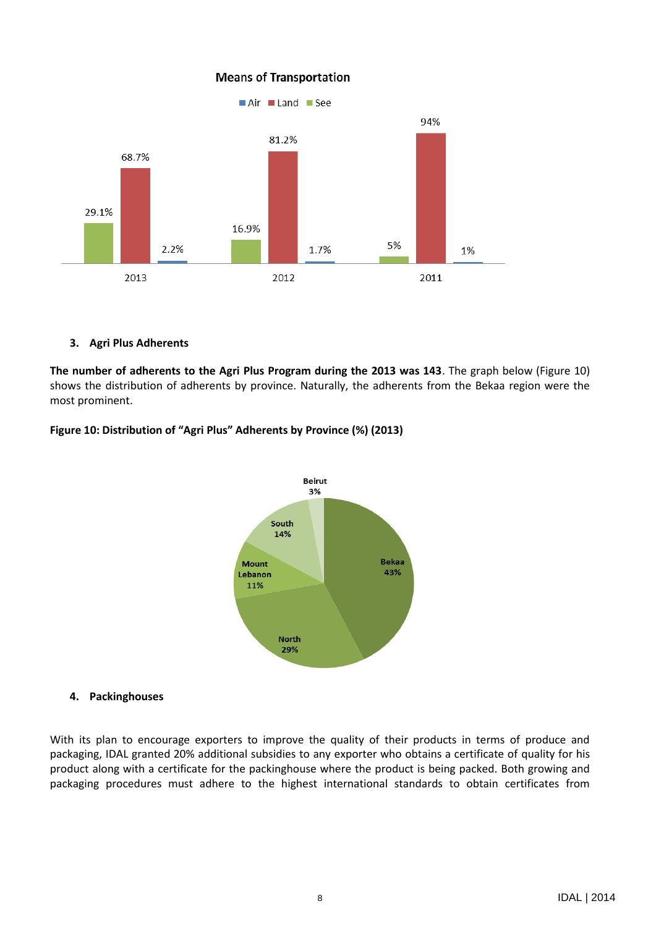

#### **3. Agri Plus Adherents**

**The number of adherents to the Agri Plus Program during the 2013 was 143**. The graph below (Figure 10) shows the distribution of adherents by province. Naturally, the adherents from the Bekaa region were the most prominent.



#### **Figure 10: Distribution of "Agri Plus" Adherents by Province (%) (2013)**

#### **4. Packinghouses**

With its plan to encourage exporters to improve the quality of their products in terms of produce and packaging, IDAL granted 20% additional subsidies to any exporter who obtains a certificate of quality for his product along with a certificate for the packinghouse where the product is being packed. Both growing and packaging procedures must adhere to the highest international standards to obtain certificates from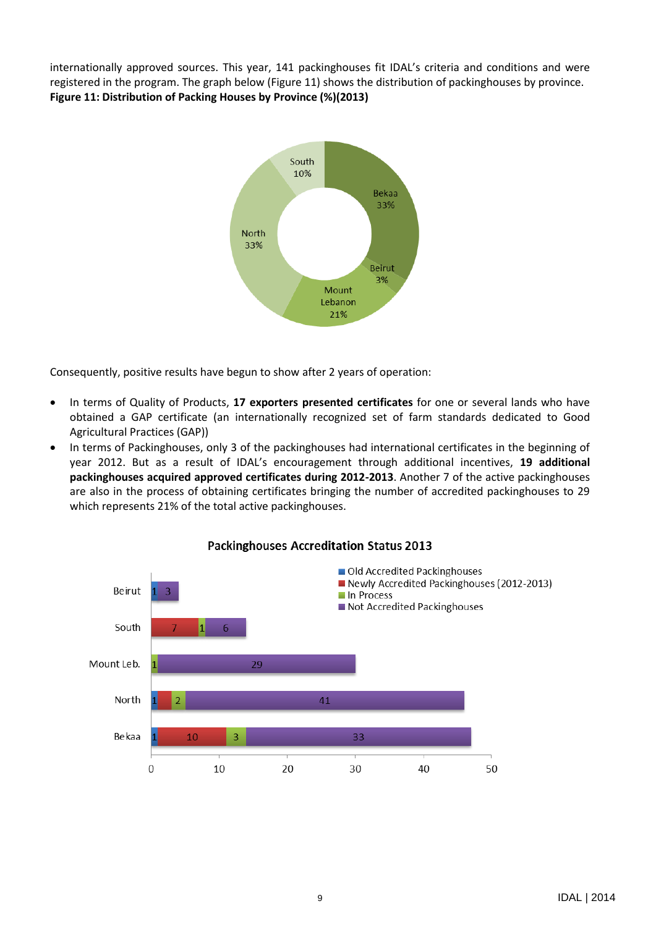internationally approved sources. This year, 141 packinghouses fit IDAL's criteria and conditions and were registered in the program. The graph below (Figure 11) shows the distribution of packinghouses by province. **Figure 11: Distribution of Packing Houses by Province (%)(2013)**



Consequently, positive results have begun to show after 2 years of operation:

- In terms of Quality of Products, **17 exporters presented certificates** for one or several lands who have obtained a GAP certificate (an internationally recognized set of farm standards dedicated to Good Agricultural Practices (GAP))
- In terms of Packinghouses, only 3 of the packinghouses had international certificates in the beginning of year 2012. But as a result of IDAL's encouragement through additional incentives, **19 additional packinghouses acquired approved certificates during 2012-2013**. Another 7 of the active packinghouses are also in the process of obtaining certificates bringing the number of accredited packinghouses to 29 which represents 21% of the total active packinghouses.



#### **Packinghouses Accreditation Status 2013**